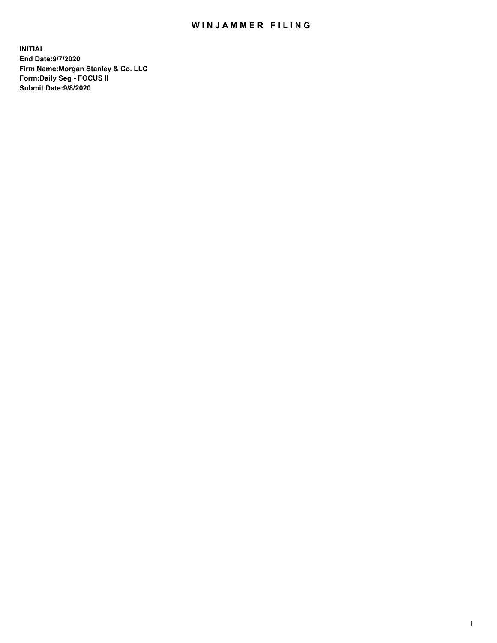## WIN JAMMER FILING

**INITIAL End Date:9/7/2020 Firm Name:Morgan Stanley & Co. LLC Form:Daily Seg - FOCUS II Submit Date:9/8/2020**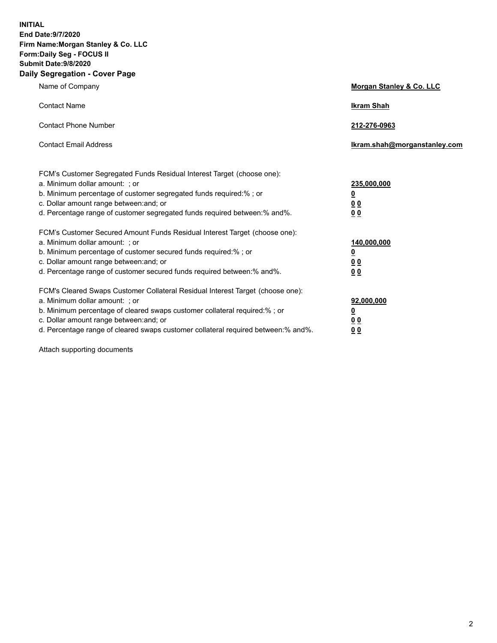**INITIAL End Date:9/7/2020 Firm Name:Morgan Stanley & Co. LLC Form:Daily Seg - FOCUS II Submit Date:9/8/2020 Daily Segregation - Cover Page**

| Name of Company                                                                                                                                                                                                                                                                                                                | Morgan Stanley & Co. LLC                                    |
|--------------------------------------------------------------------------------------------------------------------------------------------------------------------------------------------------------------------------------------------------------------------------------------------------------------------------------|-------------------------------------------------------------|
| <b>Contact Name</b>                                                                                                                                                                                                                                                                                                            | <b>Ikram Shah</b>                                           |
| <b>Contact Phone Number</b>                                                                                                                                                                                                                                                                                                    | 212-276-0963                                                |
| <b>Contact Email Address</b>                                                                                                                                                                                                                                                                                                   | Ikram.shah@morganstanley.com                                |
| FCM's Customer Segregated Funds Residual Interest Target (choose one):<br>a. Minimum dollar amount: ; or<br>b. Minimum percentage of customer segregated funds required:% ; or<br>c. Dollar amount range between: and; or<br>d. Percentage range of customer segregated funds required between:% and%.                         | 235,000,000<br><u>0</u><br>0 Q<br>0 <sub>0</sub>            |
| FCM's Customer Secured Amount Funds Residual Interest Target (choose one):<br>a. Minimum dollar amount: : or<br>b. Minimum percentage of customer secured funds required:%; or<br>c. Dollar amount range between: and; or<br>d. Percentage range of customer secured funds required between:% and%.                            | 140,000,000<br><u>0</u><br>0 <sub>0</sub><br>0 <sub>0</sub> |
| FCM's Cleared Swaps Customer Collateral Residual Interest Target (choose one):<br>a. Minimum dollar amount: ; or<br>b. Minimum percentage of cleared swaps customer collateral required:% ; or<br>c. Dollar amount range between: and; or<br>d. Percentage range of cleared swaps customer collateral required between:% and%. | 92,000,000<br><u>0</u><br>0 Q<br>0 <sub>0</sub>             |

Attach supporting documents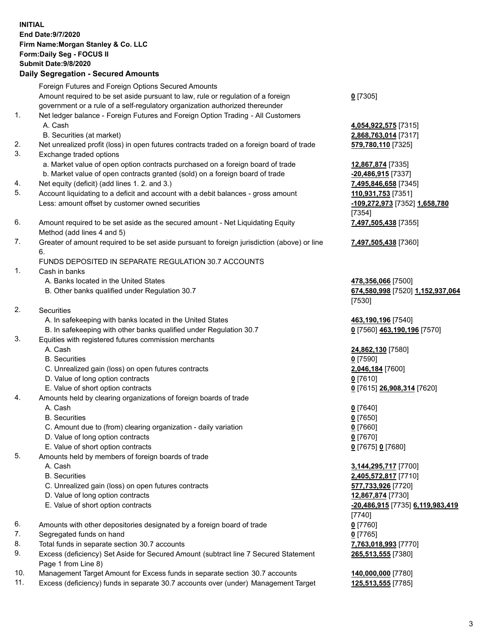| <b>INITIAL</b> | End Date:9/7/2020<br>Firm Name: Morgan Stanley & Co. LLC<br>Form: Daily Seg - FOCUS II<br><b>Submit Date: 9/8/2020</b><br><b>Daily Segregation - Secured Amounts</b> |                                                        |
|----------------|----------------------------------------------------------------------------------------------------------------------------------------------------------------------|--------------------------------------------------------|
|                | Foreign Futures and Foreign Options Secured Amounts                                                                                                                  |                                                        |
|                | Amount required to be set aside pursuant to law, rule or regulation of a foreign                                                                                     | $0$ [7305]                                             |
| 1.             | government or a rule of a self-regulatory organization authorized thereunder                                                                                         |                                                        |
|                | Net ledger balance - Foreign Futures and Foreign Option Trading - All Customers<br>A. Cash                                                                           | 4,054,922,575 [7315]                                   |
|                | B. Securities (at market)                                                                                                                                            | 2,868,763,014 [7317]                                   |
| 2.             | Net unrealized profit (loss) in open futures contracts traded on a foreign board of trade                                                                            | 579,780,110 [7325]                                     |
| 3.             | Exchange traded options                                                                                                                                              |                                                        |
|                | a. Market value of open option contracts purchased on a foreign board of trade                                                                                       | 12,867,874 [7335]                                      |
|                | b. Market value of open contracts granted (sold) on a foreign board of trade                                                                                         | -20,486,915 [7337]                                     |
| 4.<br>5.       | Net equity (deficit) (add lines 1. 2. and 3.)<br>Account liquidating to a deficit and account with a debit balances - gross amount                                   | 7,495,846,658 [7345]<br>110,931,753 [7351]             |
|                | Less: amount offset by customer owned securities                                                                                                                     | -109,272,973 [7352] 1,658,780                          |
|                |                                                                                                                                                                      | [7354]                                                 |
| 6.             | Amount required to be set aside as the secured amount - Net Liquidating Equity<br>Method (add lines 4 and 5)                                                         | 7,497,505,438 [7355]                                   |
| 7.             | Greater of amount required to be set aside pursuant to foreign jurisdiction (above) or line                                                                          | 7,497,505,438 [7360]                                   |
|                | 6.                                                                                                                                                                   |                                                        |
|                | FUNDS DEPOSITED IN SEPARATE REGULATION 30.7 ACCOUNTS                                                                                                                 |                                                        |
| 1.             | Cash in banks                                                                                                                                                        |                                                        |
|                | A. Banks located in the United States<br>B. Other banks qualified under Regulation 30.7                                                                              | 478,356,066 [7500]<br>674,580,998 [7520] 1,152,937,064 |
| 2.             | Securities                                                                                                                                                           | [7530]                                                 |
|                | A. In safekeeping with banks located in the United States                                                                                                            | 463,190,196 [7540]                                     |
|                | B. In safekeeping with other banks qualified under Regulation 30.7                                                                                                   | 0 [7560] 463,190,196 [7570]                            |
| 3.             | Equities with registered futures commission merchants                                                                                                                |                                                        |
|                | A. Cash                                                                                                                                                              | 24,862,130 [7580]                                      |
|                | <b>B.</b> Securities                                                                                                                                                 | $0$ [7590]                                             |
|                | C. Unrealized gain (loss) on open futures contracts<br>D. Value of long option contracts                                                                             | 2,046,184 [7600]<br>$0$ [7610]                         |
|                | E. Value of short option contracts                                                                                                                                   | 0 [7615] 26,908,314 [7620]                             |
| 4.             | Amounts held by clearing organizations of foreign boards of trade                                                                                                    |                                                        |
|                | A. Cash                                                                                                                                                              | $0$ [7640]                                             |
|                | <b>B.</b> Securities                                                                                                                                                 | $0$ [7650]                                             |
|                | C. Amount due to (from) clearing organization - daily variation                                                                                                      | $0$ [7660]                                             |
|                | D. Value of long option contracts                                                                                                                                    | $0$ [7670]                                             |
| 5.             | E. Value of short option contracts<br>Amounts held by members of foreign boards of trade                                                                             | 0 [7675] 0 [7680]                                      |
|                | A. Cash                                                                                                                                                              | 3,144,295,717 [7700]                                   |
|                | <b>B.</b> Securities                                                                                                                                                 | 2,405,572,817 [7710]                                   |
|                | C. Unrealized gain (loss) on open futures contracts                                                                                                                  | 577,733,926 [7720]                                     |
|                | D. Value of long option contracts                                                                                                                                    | 12,867,874 [7730]                                      |
|                | E. Value of short option contracts                                                                                                                                   | -20,486,915 [7735] 6,119,983,419                       |
|                |                                                                                                                                                                      | [7740]                                                 |
| 6.<br>7.       | Amounts with other depositories designated by a foreign board of trade<br>Segregated funds on hand                                                                   | $0$ [7760]<br>$0$ [7765]                               |
| 8.             | Total funds in separate section 30.7 accounts                                                                                                                        | 7,763,018,993 [7770]                                   |
| 9.             | Excess (deficiency) Set Aside for Secured Amount (subtract line 7 Secured Statement<br>Page 1 from Line 8)                                                           | 265,513,555 [7380]                                     |
| 10.            | Management Target Amount for Excess funds in separate section 30.7 accounts                                                                                          | 140,000,000 [7780]                                     |

11. Excess (deficiency) funds in separate 30.7 accounts over (under) Management Target **125,513,555** [7785]

3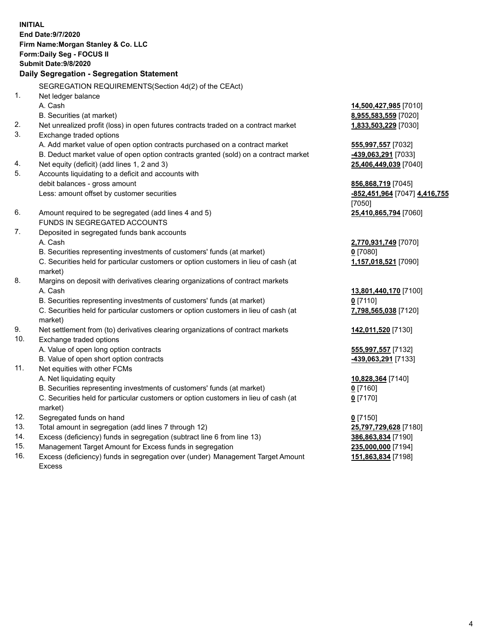|     | <b>INITIAL</b><br>End Date: 9/7/2020<br>Firm Name: Morgan Stanley & Co. LLC<br>Form: Daily Seg - FOCUS II<br>Submit Date: 9/8/2020<br>Daily Segregation - Segregation Statement |                                         |
|-----|---------------------------------------------------------------------------------------------------------------------------------------------------------------------------------|-----------------------------------------|
|     | SEGREGATION REQUIREMENTS(Section 4d(2) of the CEAct)                                                                                                                            |                                         |
| 1.  | Net ledger balance                                                                                                                                                              |                                         |
|     | A. Cash                                                                                                                                                                         | 14,500,427,985 [7010]                   |
|     | B. Securities (at market)                                                                                                                                                       | 8,955,583,559 [7020]                    |
| 2.  | Net unrealized profit (loss) in open futures contracts traded on a contract market                                                                                              | 1,833,503,229 [7030]                    |
| 3.  | Exchange traded options                                                                                                                                                         |                                         |
|     | A. Add market value of open option contracts purchased on a contract market                                                                                                     | 555,997,557 [7032]                      |
|     | B. Deduct market value of open option contracts granted (sold) on a contract market                                                                                             | 439,063,291 [7033]                      |
| 4.  | Net equity (deficit) (add lines 1, 2 and 3)                                                                                                                                     | 25,406,449,039 [7040]                   |
| 5.  | Accounts liquidating to a deficit and accounts with                                                                                                                             |                                         |
|     | debit balances - gross amount                                                                                                                                                   | 856,868,719 [7045]                      |
|     | Less: amount offset by customer securities                                                                                                                                      | -852,451,964 [7047] 4,416,755<br>[7050] |
| 6.  | Amount required to be segregated (add lines 4 and 5)                                                                                                                            | 25,410,865,794 [7060]                   |
|     | FUNDS IN SEGREGATED ACCOUNTS                                                                                                                                                    |                                         |
| 7.  | Deposited in segregated funds bank accounts                                                                                                                                     |                                         |
|     | A. Cash                                                                                                                                                                         | 2,770,931,749 [7070]                    |
|     | B. Securities representing investments of customers' funds (at market)                                                                                                          | $0$ [7080]                              |
|     | C. Securities held for particular customers or option customers in lieu of cash (at<br>market)                                                                                  | 1,157,018,521 [7090]                    |
| 8.  | Margins on deposit with derivatives clearing organizations of contract markets                                                                                                  |                                         |
|     | A. Cash                                                                                                                                                                         | 13,801,440,170 [7100]                   |
|     | B. Securities representing investments of customers' funds (at market)                                                                                                          | $0$ [7110]                              |
|     | C. Securities held for particular customers or option customers in lieu of cash (at<br>market)                                                                                  | 7,798,565,038 [7120]                    |
| 9.  | Net settlement from (to) derivatives clearing organizations of contract markets                                                                                                 | 142,011,520 [7130]                      |
| 10. | Exchange traded options                                                                                                                                                         |                                         |
|     | A. Value of open long option contracts                                                                                                                                          | 555,997,557 [7132]                      |
|     | B. Value of open short option contracts                                                                                                                                         | 439,063,291 [7133]                      |
| 11. | Net equities with other FCMs                                                                                                                                                    |                                         |
|     | A. Net liquidating equity                                                                                                                                                       | 10,828,364 [7140]                       |
|     | B. Securities representing investments of customers' funds (at market)                                                                                                          | $0$ [7160]                              |
|     | C. Securities held for particular customers or option customers in lieu of cash (at<br>market)                                                                                  | $0$ [7170]                              |
| 12. | Segregated funds on hand                                                                                                                                                        | $0$ [7150]                              |
| 13. | Total amount in segregation (add lines 7 through 12)                                                                                                                            | 25,797,729,628 [7180]                   |
| 14. | Excess (deficiency) funds in segregation (subtract line 6 from line 13)                                                                                                         | 386,863,834 [7190]                      |
| 15. | Management Target Amount for Excess funds in segregation                                                                                                                        | 235,000,000 [7194]                      |
| 16. | Excess (deficiency) funds in segregation over (under) Management Target Amount                                                                                                  | 151,863,834 [7198]                      |

16. Excess (deficiency) funds in segregation over (under) Management Target Amount Excess